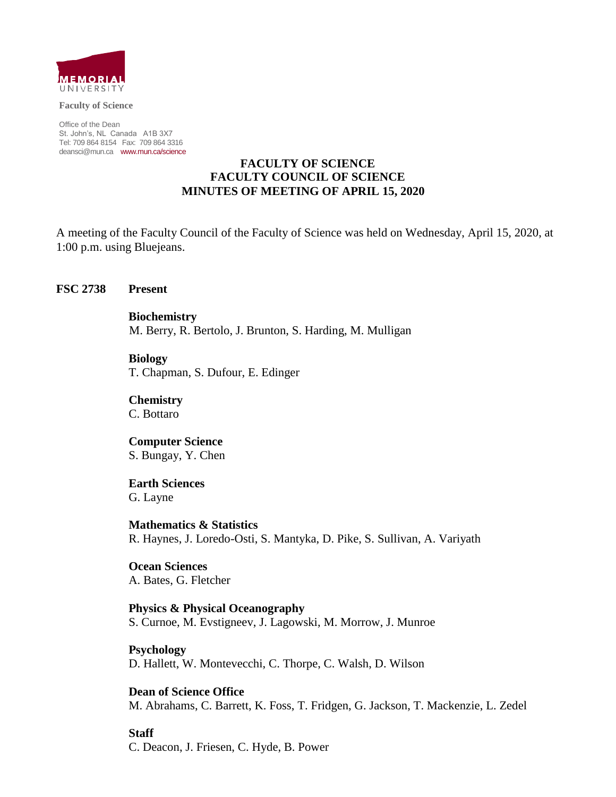

**Faculty of Science**

Office of the Dean St. John's, NL Canada A1B 3X7 Tel: 709 864 8154 Fax: 709 864 3316 [deansci@mun.ca](mailto:deansci@mun.ca) [www.mun.ca/science](http://www.mun.ca/science)

#### **FACULTY OF SCIENCE FACULTY COUNCIL OF SCIENCE MINUTES OF MEETING OF APRIL 15, 2020**

A meeting of the Faculty Council of the Faculty of Science was held on Wednesday, April 15, 2020, at 1:00 p.m. using Bluejeans.

#### **FSC 2738 Present**

**Biochemistry** M. Berry, R. Bertolo, J. Brunton, S. Harding, M. Mulligan

**Biology** T. Chapman, S. Dufour, E. Edinger

**Chemistry** C. Bottaro

**Computer Science** S. Bungay, Y. Chen

**Earth Sciences**

G. Layne

**Mathematics & Statistics** R. Haynes, J. Loredo-Osti, S. Mantyka, D. Pike, S. Sullivan, A. Variyath

**Ocean Sciences** A. Bates, G. Fletcher

**Physics & Physical Oceanography** S. Curnoe, M. Evstigneev, J. Lagowski, M. Morrow, J. Munroe

**Psychology** D. Hallett, W. Montevecchi, C. Thorpe, C. Walsh, D. Wilson

**Dean of Science Office** M. Abrahams, C. Barrett, K. Foss, T. Fridgen, G. Jackson, T. Mackenzie, L. Zedel

**Staff** C. Deacon, J. Friesen, C. Hyde, B. Power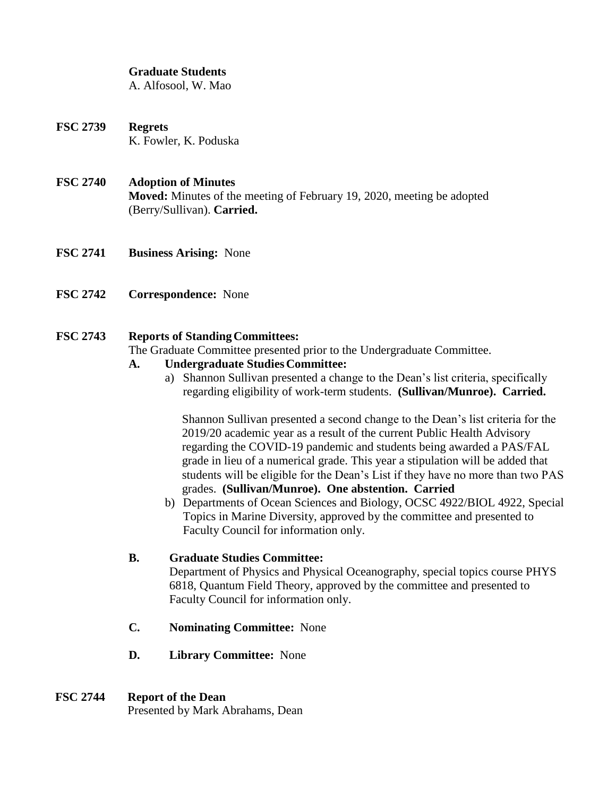#### **Graduate Students**

A. Alfosool, W. Mao

**FSC 2739 Regrets** K. Fowler, K. Poduska

#### **FSC 2740 Adoption of Minutes**

**Moved:** Minutes of the meeting of February 19, 2020, meeting be adopted (Berry/Sullivan). **Carried.**

- **FSC 2741 Business Arising:** None
- **FSC 2742 Correspondence:** None

## **FSC 2743 Reports of StandingCommittees:**

The Graduate Committee presented prior to the Undergraduate Committee.

## **A. Undergraduate StudiesCommittee:**

a) Shannon Sullivan presented a change to the Dean's list criteria, specifically regarding eligibility of work-term students. **(Sullivan/Munroe). Carried.**

Shannon Sullivan presented a second change to the Dean's list criteria for the 2019/20 academic year as a result of the current Public Health Advisory regarding the COVID-19 pandemic and students being awarded a PAS/FAL grade in lieu of a numerical grade. This year a stipulation will be added that students will be eligible for the Dean's List if they have no more than two PAS grades. **(Sullivan/Munroe). One abstention. Carried** 

b) Departments of Ocean Sciences and Biology, OCSC 4922/BIOL 4922, Special Topics in Marine Diversity, approved by the committee and presented to Faculty Council for information only.

## **B. Graduate Studies Committee:**

Department of Physics and Physical Oceanography, special topics course PHYS 6818, Quantum Field Theory, approved by the committee and presented to Faculty Council for information only.

- **C. Nominating Committee:** None
- **D. Library Committee:** None

## **FSC 2744 Report of the Dean**

Presented by Mark Abrahams, Dean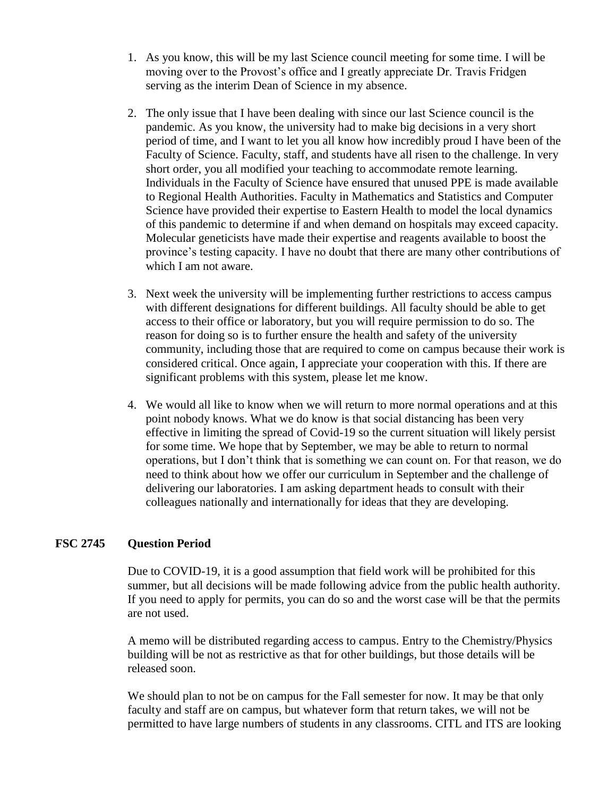- 1. As you know, this will be my last Science council meeting for some time. I will be moving over to the Provost's office and I greatly appreciate Dr. Travis Fridgen serving as the interim Dean of Science in my absence.
- 2. The only issue that I have been dealing with since our last Science council is the pandemic. As you know, the university had to make big decisions in a very short period of time, and I want to let you all know how incredibly proud I have been of the Faculty of Science. Faculty, staff, and students have all risen to the challenge. In very short order, you all modified your teaching to accommodate remote learning. Individuals in the Faculty of Science have ensured that unused PPE is made available to Regional Health Authorities. Faculty in Mathematics and Statistics and Computer Science have provided their expertise to Eastern Health to model the local dynamics of this pandemic to determine if and when demand on hospitals may exceed capacity. Molecular geneticists have made their expertise and reagents available to boost the province's testing capacity. I have no doubt that there are many other contributions of which I am not aware.
- 3. Next week the university will be implementing further restrictions to access campus with different designations for different buildings. All faculty should be able to get access to their office or laboratory, but you will require permission to do so. The reason for doing so is to further ensure the health and safety of the university community, including those that are required to come on campus because their work is considered critical. Once again, I appreciate your cooperation with this. If there are significant problems with this system, please let me know.
- 4. We would all like to know when we will return to more normal operations and at this point nobody knows. What we do know is that social distancing has been very effective in limiting the spread of Covid-19 so the current situation will likely persist for some time. We hope that by September, we may be able to return to normal operations, but I don't think that is something we can count on. For that reason, we do need to think about how we offer our curriculum in September and the challenge of delivering our laboratories. I am asking department heads to consult with their colleagues nationally and internationally for ideas that they are developing.

## **FSC 2745 Question Period**

Due to COVID-19, it is a good assumption that field work will be prohibited for this summer, but all decisions will be made following advice from the public health authority. If you need to apply for permits, you can do so and the worst case will be that the permits are not used.

A memo will be distributed regarding access to campus. Entry to the Chemistry/Physics building will be not as restrictive as that for other buildings, but those details will be released soon.

We should plan to not be on campus for the Fall semester for now. It may be that only faculty and staff are on campus, but whatever form that return takes, we will not be permitted to have large numbers of students in any classrooms. CITL and ITS are looking